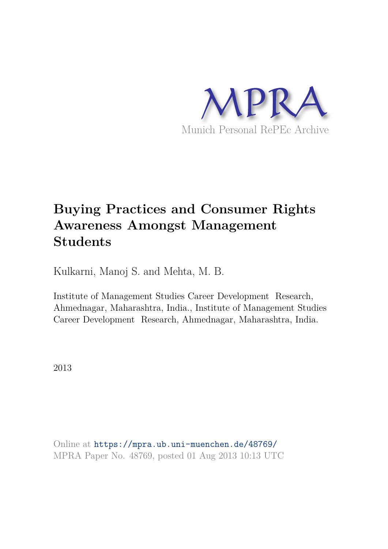

### **Buying Practices and Consumer Rights Awareness Amongst Management Students**

Kulkarni, Manoj S. and Mehta, M. B.

Institute of Management Studies Career Development Research, Ahmednagar, Maharashtra, India., Institute of Management Studies Career Development Research, Ahmednagar, Maharashtra, India.

2013

Online at https://mpra.ub.uni-muenchen.de/48769/ MPRA Paper No. 48769, posted 01 Aug 2013 10:13 UTC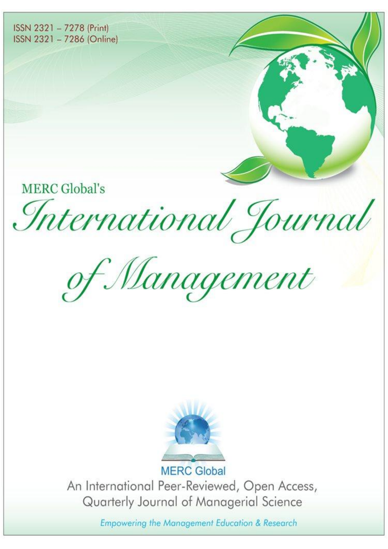ISSN 2321 - 7278 (Print) ISSN 2321 - 7286 (Online)

**MERC Global's** 

International Journal

of Management



An International Peer-Reviewed, Open Access, Quarterly Journal of Managerial Science

Empowering the Management Education & Research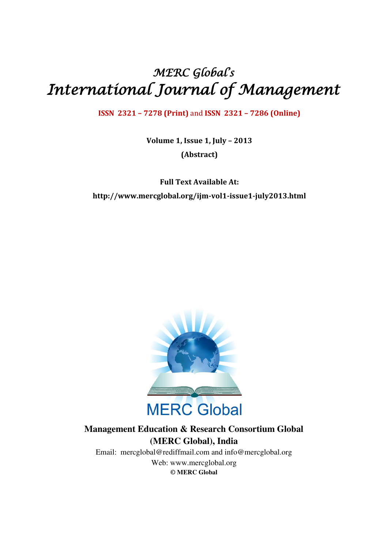## MERC Global' s International Journal of Management

**ISSN 2321 – 7278 (Print)** and **ISSN 2321 – 7286 (Online)** 

**Volume 1, Issue 1, July – 2013 (Abstract)** 

**Full Text Available At: http://www.mercglobal.org/ijm-vol1-issue1-july2013.html** 



### **Management Education & Research Consortium Global (MERC Global), India**

Email: mercglobal@rediffmail.com and info@mercglobal.org Web: www.mercglobal.org **© MERC Global**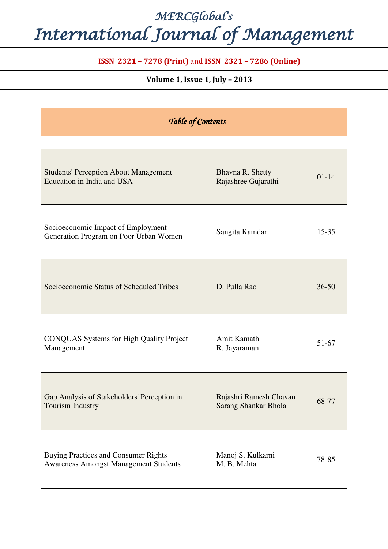# MERCGlobal' s International Journal of Management

### **ISSN 2321 – 7278 (Print)** and **ISSN 2321 – 7286 (Online)**

### **Volume 1, Issue 1, July – 2013**

| Table of Contents                                                                           |                                                |           |
|---------------------------------------------------------------------------------------------|------------------------------------------------|-----------|
|                                                                                             |                                                |           |
| <b>Students' Perception About Management</b><br>Education in India and USA                  | Bhavna R. Shetty<br>Rajashree Gujarathi        | $01 - 14$ |
| Socioeconomic Impact of Employment<br>Generation Program on Poor Urban Women                | Sangita Kamdar                                 | $15 - 35$ |
| Socioeconomic Status of Scheduled Tribes                                                    | D. Pulla Rao                                   | $36 - 50$ |
| <b>CONQUAS Systems for High Quality Project</b><br>Management                               | Amit Kamath<br>R. Jayaraman                    | $51 - 67$ |
| Gap Analysis of Stakeholders' Perception in<br>Tourism Industry                             | Rajashri Ramesh Chavan<br>Sarang Shankar Bhola | 68-77     |
| <b>Buying Practices and Consumer Rights</b><br><b>Awareness Amongst Management Students</b> | Manoj S. Kulkarni<br>M. B. Mehta               | 78-85     |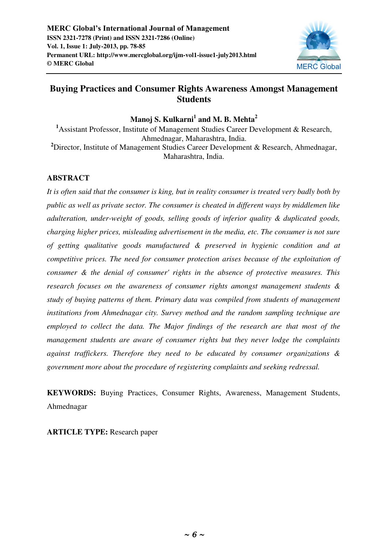

### **Buying Practices and Consumer Rights Awareness Amongst Management Students**

### **Manoj S. Kulkarni<sup>1</sup> and M. B. Mehta<sup>2</sup>**

**<sup>1</sup>**Assistant Professor, Institute of Management Studies Career Development & Research, Ahmednagar, Maharashtra, India. <sup>2</sup>Director, Institute of Management Studies Career Development & Research, Ahmednagar, Maharashtra, India.

### **ABSTRACT**

*It is often said that the consumer is king, but in reality consumer is treated very badly both by public as well as private sector. The consumer is cheated in different ways by middlemen like adulteration, under-weight of goods, selling goods of inferior quality & duplicated goods, charging higher prices, misleading advertisement in the media, etc. The consumer is not sure of getting qualitative goods manufactured & preserved in hygienic condition and at competitive prices. The need for consumer protection arises because of the exploitation of consumer & the denial of consumer' rights in the absence of protective measures. This research focuses on the awareness of consumer rights amongst management students & study of buying patterns of them. Primary data was compiled from students of management institutions from Ahmednagar city. Survey method and the random sampling technique are employed to collect the data. The Major findings of the research are that most of the management students are aware of consumer rights but they never lodge the complaints against traffickers. Therefore they need to be educated by consumer organizations & government more about the procedure of registering complaints and seeking redressal.*

**KEYWORDS:** Buying Practices, Consumer Rights, Awareness, Management Students, Ahmednagar

**ARTICLE TYPE:** Research paper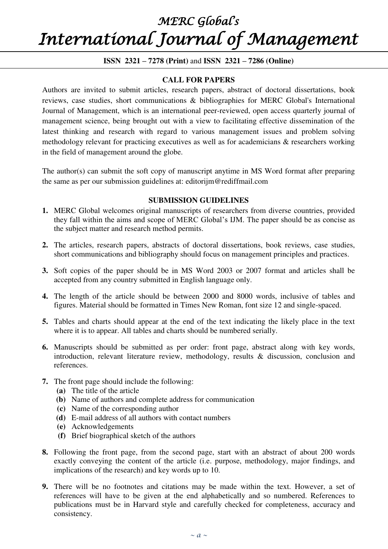# MERC Global' s International Journal of Management

### **ISSN 2321 – 7278 (Print)** and **ISSN 2321 – 7286 (Online)**

### **CALL FOR PAPERS**

Authors are invited to submit articles, research papers, abstract of doctoral dissertations, book reviews, case studies, short communications & bibliographies for MERC Global's International Journal of Management, which is an international peer-reviewed, open access quarterly journal of management science, being brought out with a view to facilitating effective dissemination of the latest thinking and research with regard to various management issues and problem solving methodology relevant for practicing executives as well as for academicians & researchers working in the field of management around the globe.

The author(s) can submit the soft copy of manuscript anytime in MS Word format after preparing the same as per our submission guidelines at: editorijm@rediffmail.com

#### **SUBMISSION GUIDELINES**

- **1.** MERC Global welcomes original manuscripts of researchers from diverse countries, provided they fall within the aims and scope of MERC Global's IJM. The paper should be as concise as the subject matter and research method permits.
- **2.** The articles, research papers, abstracts of doctoral dissertations, book reviews, case studies, short communications and bibliography should focus on management principles and practices.
- **3.** Soft copies of the paper should be in MS Word 2003 or 2007 format and articles shall be accepted from any country submitted in English language only.
- **4.** The length of the article should be between 2000 and 8000 words, inclusive of tables and figures. Material should be formatted in Times New Roman, font size 12 and single-spaced.
- **5.** Tables and charts should appear at the end of the text indicating the likely place in the text where it is to appear. All tables and charts should be numbered serially.
- **6.** Manuscripts should be submitted as per order: front page, abstract along with key words, introduction, relevant literature review, methodology, results & discussion, conclusion and references.
- **7.** The front page should include the following:
	- **(a)** The title of the article
	- **(b)** Name of authors and complete address for communication
	- **(c)** Name of the corresponding author
	- **(d)** E-mail address of all authors with contact numbers
	- **(e)** Acknowledgements
	- **(f)** Brief biographical sketch of the authors
- **8.** Following the front page, from the second page, start with an abstract of about 200 words exactly conveying the content of the article (i.e. purpose, methodology, major findings, and implications of the research) and key words up to 10.
- **9.** There will be no footnotes and citations may be made within the text. However, a set of references will have to be given at the end alphabetically and so numbered. References to publications must be in Harvard style and carefully checked for completeness, accuracy and consistency.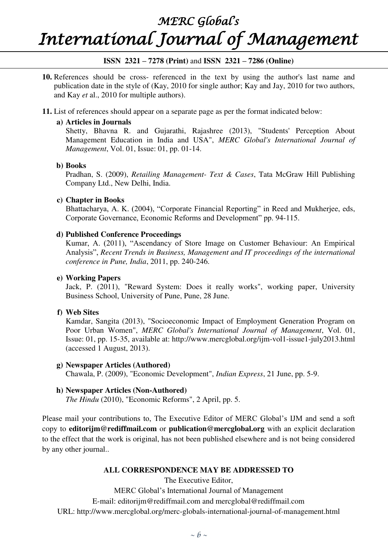### MERC Global' s

# International Journal of Management

### **ISSN 2321 – 7278 (Print)** and **ISSN 2321 – 7286 (Online)**

**10.** References should be cross- referenced in the text by using the author's last name and publication date in the style of (Kay, 2010 for single author; Kay and Jay, 2010 for two authors, and Kay *et* al., 2010 for multiple authors).

### **11.** List of references should appear on a separate page as per the format indicated below:

### **a) Articles in Journals**

Shetty, Bhavna R. and Gujarathi, Rajashree (2013), "Students' Perception About Management Education in India and USA", *MERC Global's International Journal of Management*, Vol. 01, Issue: 01, pp. 01-14.

### **b) Books**

Pradhan, S. (2009), *Retailing Management- Text & Cases*, Tata McGraw Hill Publishing Company Ltd., New Delhi, India.

### **c) Chapter in Books**

Bhattacharya, A. K. (2004), "Corporate Financial Reporting" in Reed and Mukherjee, eds, Corporate Governance, Economic Reforms and Development" pp. 94-115.

### **d) Published Conference Proceedings**

Kumar, A. (2011), "Ascendancy of Store Image on Customer Behaviour: An Empirical Analysis", *Recent Trends in Business, Management and IT proceedings of the international conference in Pune, India*, 2011, pp. 240-246.

### **e) Working Papers**

Jack, P. (2011), "Reward System: Does it really works", working paper, University Business School, University of Pune, Pune, 28 June.

### **f) Web Sites**

Kamdar, Sangita (2013), "Socioeconomic Impact of Employment Generation Program on Poor Urban Women", *MERC Global's International Journal of Management*, Vol. 01, Issue: 01, pp. 15-35, available at: http://www.mercglobal.org/ijm-vol1-issue1-july2013.html (accessed 1 August, 2013).

**g) Newspaper Articles (Authored)** 

Chawala, P. (2009), "Economic Development", *Indian Express*, 21 June, pp. 5-9.

### **h) Newspaper Articles (Non-Authored)**

*The Hindu* (2010), "Economic Reforms", 2 April, pp. 5.

Please mail your contributions to, The Executive Editor of MERC Global's IJM and send a soft copy to **editorijm@rediffmail.com** or **publication@mercglobal.org** with an explicit declaration to the effect that the work is original, has not been published elsewhere and is not being considered by any other journal..

#### **ALL CORRESPONDENCE MAY BE ADDRESSED TO**

The Executive Editor,

MERC Global's International Journal of Management

E-mail: editorijm@rediffmail.com and mercglobal@rediffmail.com

URL: http://www.mercglobal.org/merc-globals-international-journal-of-management.html